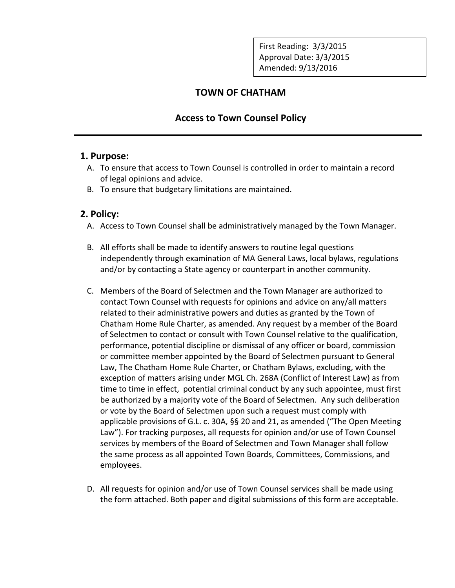First Reading: 3/3/2015 Approval Date: 3/3/2015 Amended: 9/13/2016

# **TOWN OF CHATHAM**

## **Access to Town Counsel Policy**

### **1. Purpose:**

- A. To ensure that access to Town Counsel is controlled in order to maintain a record of legal opinions and advice.
- B. To ensure that budgetary limitations are maintained.

## **2. Policy:**

- A. Access to Town Counsel shall be administratively managed by the Town Manager.
- B. All efforts shall be made to identify answers to routine legal questions independently through examination of MA General Laws, local bylaws, regulations and/or by contacting a State agency or counterpart in another community.
- C. Members of the Board of Selectmen and the Town Manager are authorized to contact Town Counsel with requests for opinions and advice on any/all matters related to their administrative powers and duties as granted by the Town of Chatham Home Rule Charter, as amended. Any request by a member of the Board of Selectmen to contact or consult with Town Counsel relative to the qualification, performance, potential discipline or dismissal of any officer or board, commission or committee member appointed by the Board of Selectmen pursuant to General Law, The Chatham Home Rule Charter, or Chatham Bylaws, excluding, with the exception of matters arising under MGL Ch. 268A (Conflict of Interest Law) as from time to time in effect, potential criminal conduct by any such appointee, must first be authorized by a majority vote of the Board of Selectmen. Any such deliberation or vote by the Board of Selectmen upon such a request must comply with applicable provisions of G.L. c. 30A, §§ 20 and 21, as amended ("The Open Meeting Law"). For tracking purposes, all requests for opinion and/or use of Town Counsel services by members of the Board of Selectmen and Town Manager shall follow the same process as all appointed Town Boards, Committees, Commissions, and employees.
- D. All requests for opinion and/or use of Town Counsel services shall be made using the form attached. Both paper and digital submissions of this form are acceptable.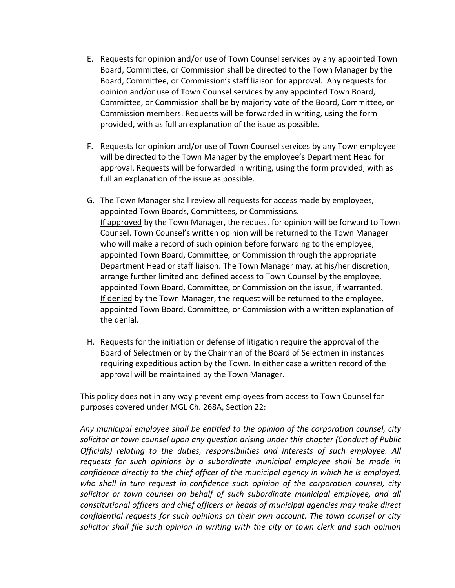- E. Requests for opinion and/or use of Town Counsel services by any appointed Town Board, Committee, or Commission shall be directed to the Town Manager by the Board, Committee, or Commission's staff liaison for approval. Any requests for opinion and/or use of Town Counsel services by any appointed Town Board, Committee, or Commission shall be by majority vote of the Board, Committee, or Commission members. Requests will be forwarded in writing, using the form provided, with as full an explanation of the issue as possible.
- F. Requests for opinion and/or use of Town Counsel services by any Town employee will be directed to the Town Manager by the employee's Department Head for approval. Requests will be forwarded in writing, using the form provided, with as full an explanation of the issue as possible.
- G. The Town Manager shall review all requests for access made by employees, appointed Town Boards, Committees, or Commissions. If approved by the Town Manager, the request for opinion will be forward to Town Counsel. Town Counsel's written opinion will be returned to the Town Manager who will make a record of such opinion before forwarding to the employee, appointed Town Board, Committee, or Commission through the appropriate Department Head or staff liaison. The Town Manager may, at his/her discretion, arrange further limited and defined access to Town Counsel by the employee, appointed Town Board, Committee, or Commission on the issue, if warranted. If denied by the Town Manager, the request will be returned to the employee, appointed Town Board, Committee, or Commission with a written explanation of the denial.
- H. Requests for the initiation or defense of litigation require the approval of the Board of Selectmen or by the Chairman of the Board of Selectmen in instances requiring expeditious action by the Town. In either case a written record of the approval will be maintained by the Town Manager.

This policy does not in any way prevent employees from access to Town Counsel for purposes covered under MGL Ch. 268A, Section 22:

*Any municipal employee shall be entitled to the opinion of the corporation counsel, city solicitor or town counsel upon any question arising under this chapter (Conduct of Public Officials) relating to the duties, responsibilities and interests of such employee. All requests for such opinions by a subordinate municipal employee shall be made in confidence directly to the chief officer of the municipal agency in which he is employed, who shall in turn request in confidence such opinion of the corporation counsel, city solicitor or town counsel on behalf of such subordinate municipal employee, and all constitutional officers and chief officers or heads of municipal agencies may make direct confidential requests for such opinions on their own account. The town counsel or city solicitor shall file such opinion in writing with the city or town clerk and such opinion*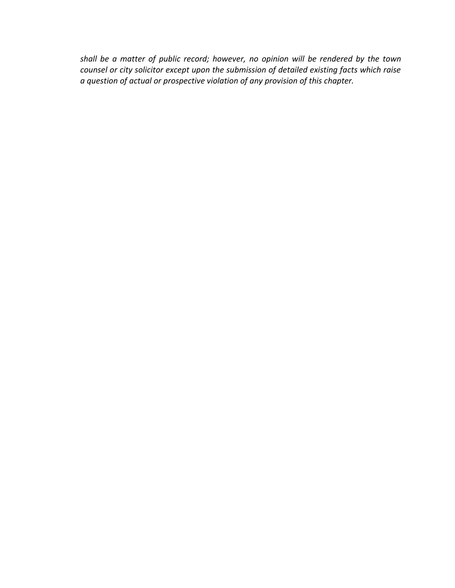*shall be a matter of public record; however, no opinion will be rendered by the town counsel or city solicitor except upon the submission of detailed existing facts which raise a question of actual or prospective violation of any provision of this chapter.*